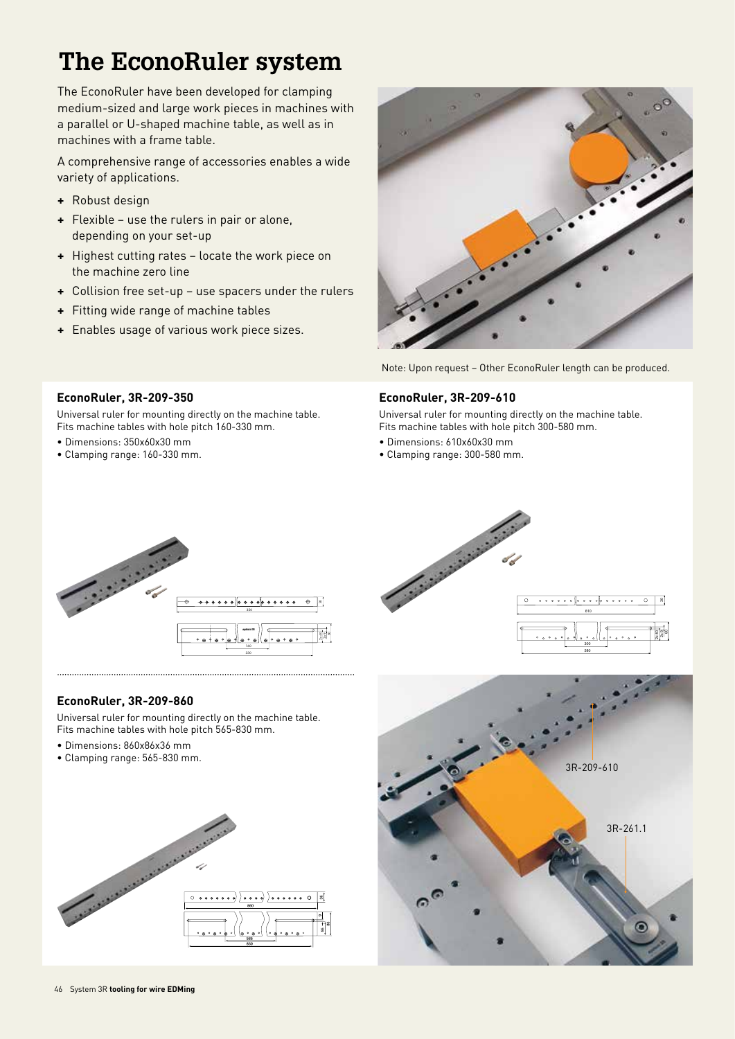# **The EconoRuler system**

The EconoRuler have been developed for clamping medium-sized and large work pieces in machines with a parallel or U-shaped machine table, as well as in machines with a frame table.

A comprehensive range of accessories enables a wide variety of applications.

- **+** Robust design
- **+** Flexible use the rulers in pair or alone, depending on your set-up
- **+** Highest cutting rates locate the work piece on the machine zero line
- **+** Collision free set-up use spacers under the rulers
- **+** Fitting wide range of machine tables
- **+** Enables usage of various work piece sizes.



Note: Upon request – Other EconoRuler length can be produced.

#### **EconoRuler, 3R-209-350**

Universal ruler for mounting directly on the machine table. Fits machine tables with hole pitch 160-330 mm.

- Dimensions: 350x60x30 mm
- Clamping range: 160-330 mm.

#### **EconoRuler, 3R-209-610**

Universal ruler for mounting directly on the machine table. Fits machine tables with hole pitch 300-580 mm.

- Dimensions: 610x60x30 mm
- Clamping range: 300-580 mm.



### **EconoRuler, 3R-209-860**

Universal ruler for mounting directly on the machine table. Fits machine tables with hole pitch 565-830 mm.

- Dimensions: 860x86x36 mm
- Clamping range: 565-830 mm.



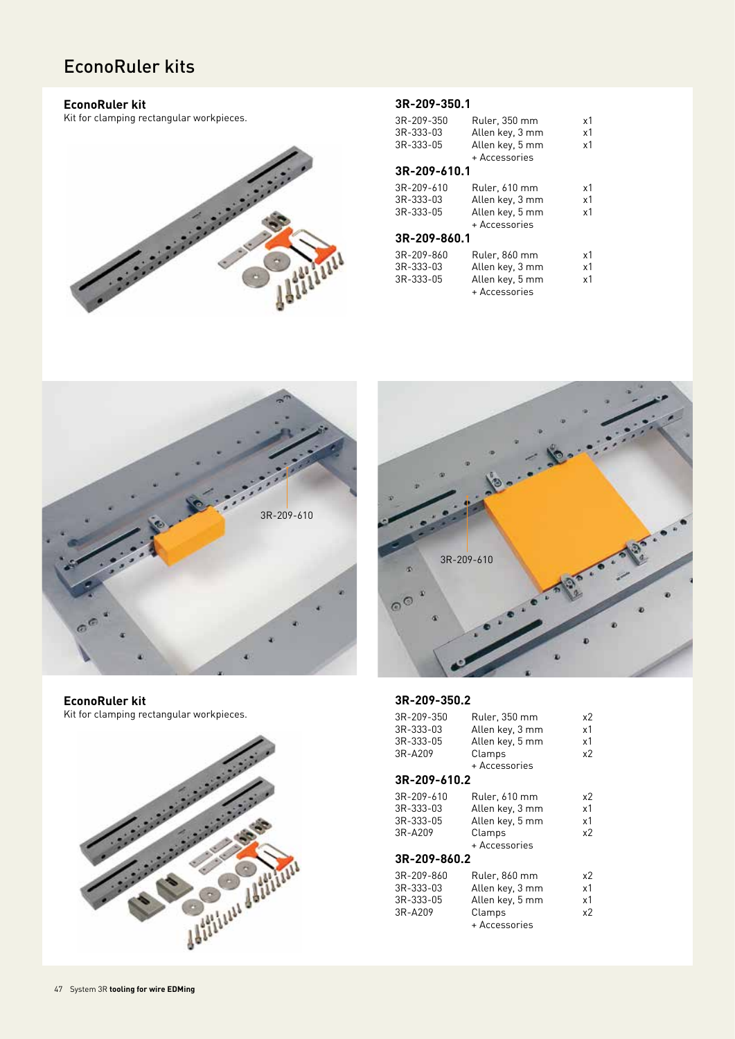# EconoRuler kits

### **EconoRuler kit**

Kit for clamping rectangular workpieces.



### **3R-209-350.1**

| 3R-209-350   | Ruler, 350 mm   | x1 |  |  |
|--------------|-----------------|----|--|--|
| 3R-333-03    | Allen key, 3 mm | x1 |  |  |
| 3R-333-05    | Allen key, 5 mm | x1 |  |  |
|              | + Accessories   |    |  |  |
| 3R-209-610.1 |                 |    |  |  |
| 3R-209-610   | Ruler, 610 mm   | x1 |  |  |
| 3R-333-03    | Allen key, 3 mm | x1 |  |  |
| 3R-333-05    | Allen key, 5 mm | x1 |  |  |
|              | + Accessories   |    |  |  |
| 3R-209-860.1 |                 |    |  |  |
| 3R-209-860   | Ruler, 860 mm   | x1 |  |  |
| 3R-333-03    | Allen key, 3 mm | x1 |  |  |
| 3R-333-05    | Allen key, 5 mm | x1 |  |  |
|              | + Accessories   |    |  |  |









#### **3R-209-350.2**

| 3R-209-350   | Ruler, 350 mm   | x2 |  |  |
|--------------|-----------------|----|--|--|
| 3R-333-03    | Allen key, 3 mm | x1 |  |  |
| 3R-333-05    | Allen key, 5 mm | x1 |  |  |
| 3R-A209      | Clamps          | x2 |  |  |
|              | + Accessories   |    |  |  |
| 3R-209-610.2 |                 |    |  |  |
| 3R-209-610   | Ruler, 610 mm   | x2 |  |  |
| 3R-333-03    | Allen key, 3 mm | x1 |  |  |
| 3R-333-05    | Allen key, 5 mm | x1 |  |  |
| 3R-A209      | Clamps          | x2 |  |  |
|              | + Accessories   |    |  |  |
| 3R-209-860.2 |                 |    |  |  |
| 3R-209-860   | Ruler, 860 mm   | x2 |  |  |
| 3R-333-03    | Allen key, 3 mm | x1 |  |  |
| 3R-333-05    | Allen key, 5 mm | x1 |  |  |
| 3R-A209      | Clamps          | х2 |  |  |
|              | + Accessories   |    |  |  |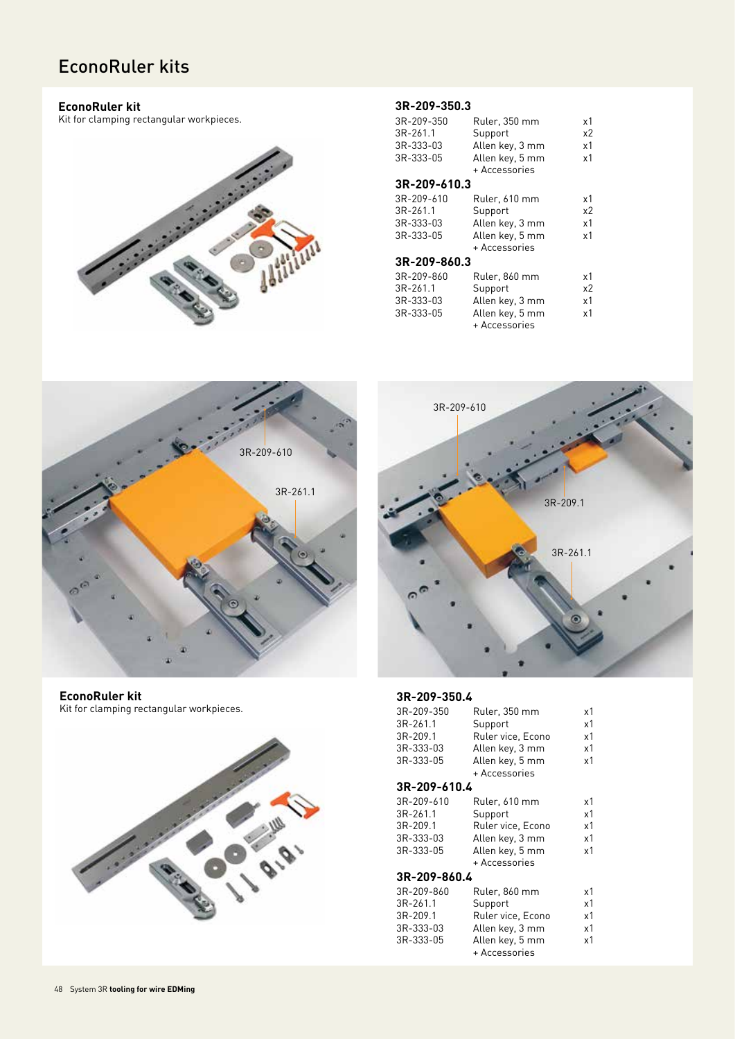# EconoRuler kits

#### **EconoRuler kit**

Kit for clamping rectangular workpieces.



#### **3R-209-350.3**

| 3R-209-350<br>$3R-261.1$<br>3R-333-03<br>3R-333-05 | Ruler, 350 mm<br>Support<br>Allen key, 3 mm<br>Allen key, 5 mm                  | x1<br>x2<br>x1<br>x1 |  |  |
|----------------------------------------------------|---------------------------------------------------------------------------------|----------------------|--|--|
|                                                    | + Accessories                                                                   |                      |  |  |
| 3R-209-610.3                                       |                                                                                 |                      |  |  |
| 3R-209-610<br>$3R-261.1$<br>3R-333-03<br>3R-333-05 | Ruler, 610 mm<br>Support<br>Allen key, 3 mm<br>Allen key, 5 mm<br>+ Accessories | x1<br>x2<br>x1<br>x1 |  |  |
| 3R-209-860.3                                       |                                                                                 |                      |  |  |
| 3R-209-860<br>3R-261.1<br>3R-333-03<br>3R-333-05   | Ruler, 860 mm<br>Support<br>Allen key, 3 mm<br>Allen key, 5 mm<br>+ Accessories | x1<br>x2<br>x1<br>x1 |  |  |



**EconoRuler kit** Kit for clamping rectangular workpieces.





#### **3R-209-350.4**

| 3R-209-350   | Ruler, 350 mm     | х1 |  |  |
|--------------|-------------------|----|--|--|
| 3R-261.1     | Support           | x1 |  |  |
| 3R-209.1     | Ruler vice, Econo | x1 |  |  |
| 3R-333-03    | Allen key, 3 mm   | x1 |  |  |
| 3R-333-05    | Allen key, 5 mm   | x1 |  |  |
|              | + Accessories     |    |  |  |
| 3R-209-610.4 |                   |    |  |  |
| 3R-209-610   | Ruler, 610 mm     | x1 |  |  |
| 3R-261.1     | Support           | x1 |  |  |
| 3R-209.1     | Ruler vice, Econo | x1 |  |  |
| 3R-333-03    | Allen key, 3 mm   | x1 |  |  |
| 3R-333-05    | Allen key, 5 mm   | x1 |  |  |
|              | + Accessories     |    |  |  |
| 3R-209-860.4 |                   |    |  |  |
| 3R-209-860   | Ruler, 860 mm     | x1 |  |  |
| 3R-261.1     | Support           | x1 |  |  |
| 3R-209.1     | Ruler vice, Econo | x1 |  |  |
| 3R-333-03    | Allen key, 3 mm   | х1 |  |  |
| 3R-333-05    | Allen key, 5 mm   | x1 |  |  |
|              | + Accessories     |    |  |  |
|              |                   |    |  |  |